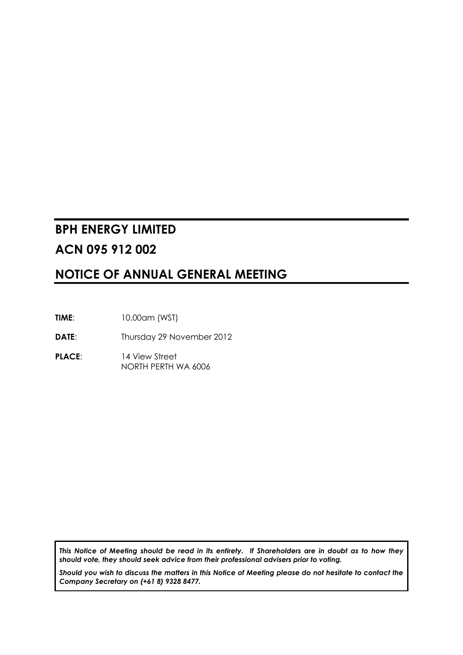# **BPH ENERGY LIMITED ACN 095 912 002**

# **NOTICE OF ANNUAL GENERAL MEETING**

**TIME**: 10.00am (WST)

**DATE:** Thursday 29 November 2012

**PLACE**: 14 View Street NORTH PERTH WA 6006

*This Notice of Meeting should be read in its entirety. If Shareholders are in doubt as to how they should vote, they should seek advice from their professional advisers prior to voting.*

*Should you wish to discuss the matters in this Notice of Meeting please do not hesitate to contact the Company Secretary on (+61 8) 9328 8477.*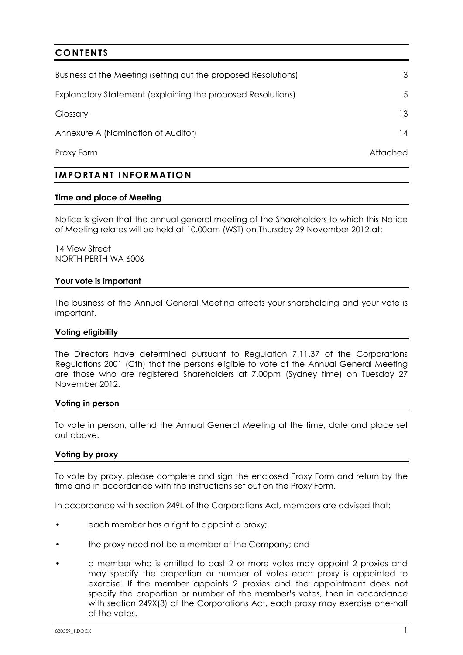# **CONTENTS**

| Business of the Meeting (setting out the proposed Resolutions) | 3        |
|----------------------------------------------------------------|----------|
| Explanatory Statement (explaining the proposed Resolutions)    | .5       |
| Glossary                                                       | 13.      |
| Annexure A (Nomination of Auditor)                             | 14       |
| Proxy Form                                                     | Attached |

# **IMPORTANT INFORMATIO N**

#### **Time and place of Meeting**

Notice is given that the annual general meeting of the Shareholders to which this Notice of Meeting relates will be held at 10.00am (WST) on Thursday 29 November 2012 at:

14 View Street NORTH PERTH WA 6006

#### **Your vote is important**

The business of the Annual General Meeting affects your shareholding and your vote is important.

#### **Voting eligibility**

The Directors have determined pursuant to Regulation 7.11.37 of the Corporations Regulations 2001 (Cth) that the persons eligible to vote at the Annual General Meeting are those who are registered Shareholders at 7.00pm (Sydney time) on Tuesday 27 November 2012.

#### **Voting in person**

To vote in person, attend the Annual General Meeting at the time, date and place set out above.

#### **Voting by proxy**

To vote by proxy, please complete and sign the enclosed Proxy Form and return by the time and in accordance with the instructions set out on the Proxy Form.

In accordance with section 249L of the Corporations Act, members are advised that:

- each member has a right to appoint a proxy;
- the proxy need not be a member of the Company; and
- a member who is entitled to cast 2 or more votes may appoint 2 proxies and may specify the proportion or number of votes each proxy is appointed to exercise. If the member appoints 2 proxies and the appointment does not specify the proportion or number of the member's votes, then in accordance with section 249X(3) of the Corporations Act, each proxy may exercise one-half of the votes.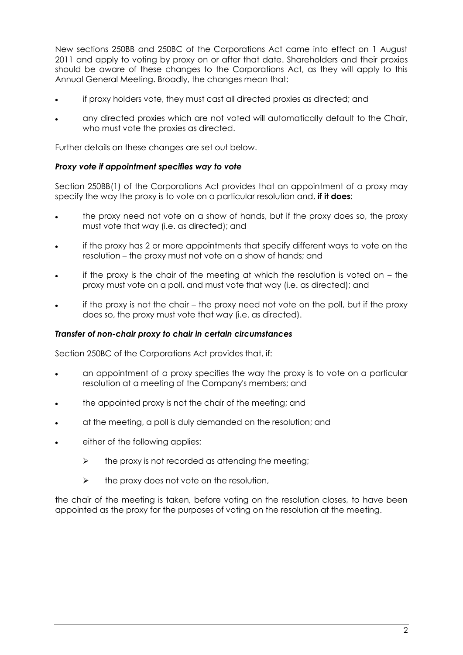New sections 250BB and 250BC of the Corporations Act came into effect on 1 August 2011 and apply to voting by proxy on or after that date. Shareholders and their proxies should be aware of these changes to the Corporations Act, as they will apply to this Annual General Meeting. Broadly, the changes mean that:

- if proxy holders vote, they must cast all directed proxies as directed; and
- any directed proxies which are not voted will automatically default to the Chair, who must vote the proxies as directed.

Further details on these changes are set out below.

## *Proxy vote if appointment specifies way to vote*

Section 250BB(1) of the Corporations Act provides that an appointment of a proxy may specify the way the proxy is to vote on a particular resolution and, **if it does**:

- the proxy need not vote on a show of hands, but if the proxy does so, the proxy must vote that way (i.e. as directed); and
- if the proxy has 2 or more appointments that specify different ways to vote on the resolution – the proxy must not vote on a show of hands; and
- if the proxy is the chair of the meeting at which the resolution is voted on the proxy must vote on a poll, and must vote that way (i.e. as directed); and
- if the proxy is not the chair the proxy need not vote on the poll, but if the proxy does so, the proxy must vote that way (i.e. as directed).

#### *Transfer of non-chair proxy to chair in certain circumstances*

Section 250BC of the Corporations Act provides that, if:

- an appointment of a proxy specifies the way the proxy is to vote on a particular resolution at a meeting of the Company's members; and
- the appointed proxy is not the chair of the meeting; and
- at the meeting, a poll is duly demanded on the resolution; and
- either of the following applies:
	- $\triangleright$  the proxy is not recorded as attending the meeting;
	- $\triangleright$  the proxy does not vote on the resolution,

the chair of the meeting is taken, before voting on the resolution closes, to have been appointed as the proxy for the purposes of voting on the resolution at the meeting.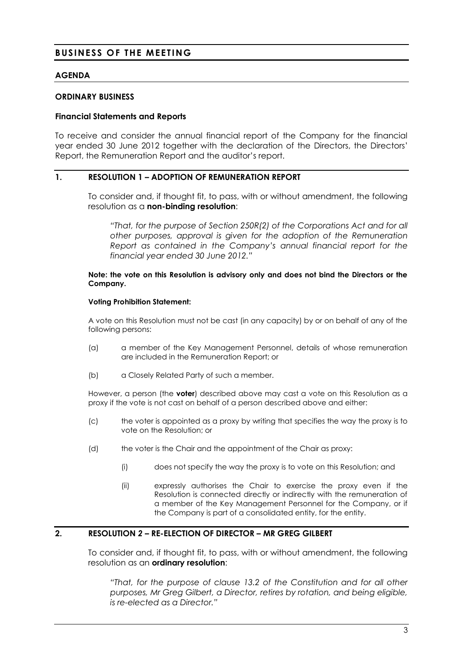# **BUSINESS OF THE MEETING**

#### **AGENDA**

#### **ORDINARY BUSINESS**

#### **Financial Statements and Reports**

To receive and consider the annual financial report of the Company for the financial year ended 30 June 2012 together with the declaration of the Directors, the Directors' Report, the Remuneration Report and the auditor's report.

#### **1. RESOLUTION 1 – ADOPTION OF REMUNERATION REPORT**

To consider and, if thought fit, to pass, with or without amendment, the following resolution as a **non-binding resolution**:

*"That, for the purpose of Section 250R(2) of the Corporations Act and for all other purposes, approval is given for the adoption of the Remuneration Report as contained in the Company's annual financial report for the financial year ended 30 June 2012."*

#### **Note: the vote on this Resolution is advisory only and does not bind the Directors or the Company.**

#### **Voting Prohibition Statement:**

A vote on this Resolution must not be cast (in any capacity) by or on behalf of any of the following persons:

- (a) a member of the Key Management Personnel, details of whose remuneration are included in the Remuneration Report; or
- (b) a Closely Related Party of such a member.

However, a person (the **voter**) described above may cast a vote on this Resolution as a proxy if the vote is not cast on behalf of a person described above and either:

- (c) the voter is appointed as a proxy by writing that specifies the way the proxy is to vote on the Resolution; or
- (d) the voter is the Chair and the appointment of the Chair as proxy:
	- (i) does not specify the way the proxy is to vote on this Resolution; and
	- (ii) expressly authorises the Chair to exercise the proxy even if the Resolution is connected directly or indirectly with the remuneration of a member of the Key Management Personnel for the Company, or if the Company is part of a consolidated entity, for the entity.

# **2. RESOLUTION** *2* **– RE-ELECTION OF DIRECTOR – MR GREG GILBERT**

To consider and, if thought fit, to pass, with or without amendment, the following resolution as an **ordinary resolution**:

*"That, for the purpose of clause 13.2 of the Constitution and for all other purposes, Mr Greg Gilbert, a Director, retires by rotation, and being eligible, is re-elected as a Director."*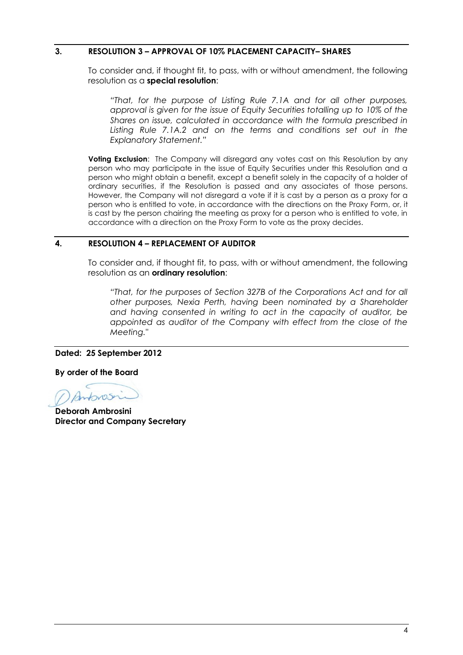## **3. RESOLUTION 3 – APPROVAL OF 10% PLACEMENT CAPACITY– SHARES**

To consider and, if thought fit, to pass, with or without amendment, the following resolution as a **special resolution**:

*"That, for the purpose of Listing Rule 7.1A and for all other purposes, approval is given for the issue of Equity Securities totalling up to 10% of the Shares on issue, calculated in accordance with the formula prescribed in Listing Rule 7.1A.2 and on the terms and conditions set out in the Explanatory Statement."*

**Voting Exclusion:** The Company will disregard any votes cast on this Resolution by any person who may participate in the issue of Equity Securities under this Resolution and a person who might obtain a benefit, except a benefit solely in the capacity of a holder of ordinary securities, if the Resolution is passed and any associates of those persons. However, the Company will not disregard a vote if it is cast by a person as a proxy for a person who is entitled to vote, in accordance with the directions on the Proxy Form, or, it is cast by the person chairing the meeting as proxy for a person who is entitled to vote, in accordance with a direction on the Proxy Form to vote as the proxy decides.

#### **4. RESOLUTION 4 – REPLACEMENT OF AUDITOR**

To consider and, if thought fit, to pass, with or without amendment, the following resolution as an **ordinary resolution**:

*"That, for the purposes of Section 327B of the Corporations Act and for all other purposes, Nexia Perth, having been nominated by a Shareholder and having consented in writing to act in the capacity of auditor, be appointed as auditor of the Company with effect from the close of the Meeting."*

#### **Dated: 25 September 2012**

**By order of the Board**

Antons

**Deborah Ambrosini Director and Company Secretary**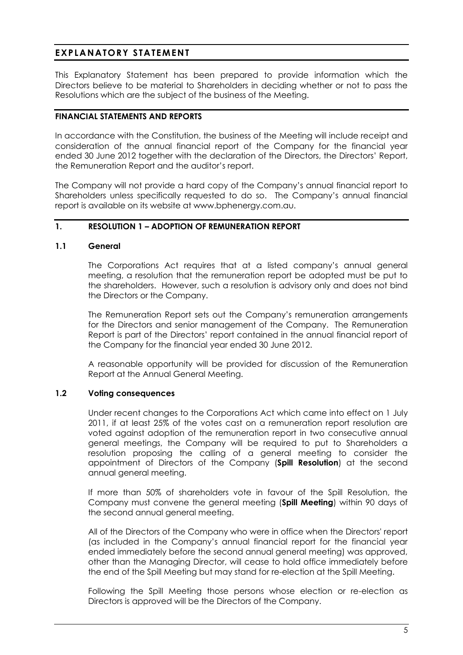# **EXPLANATORY STATEMENT**

This Explanatory Statement has been prepared to provide information which the Directors believe to be material to Shareholders in deciding whether or not to pass the Resolutions which are the subject of the business of the Meeting.

## **FINANCIAL STATEMENTS AND REPORTS**

In accordance with the Constitution, the business of the Meeting will include receipt and consideration of the annual financial report of the Company for the financial year ended 30 June 2012 together with the declaration of the Directors, the Directors' Report, the Remuneration Report and the auditor's report.

The Company will not provide a hard copy of the Company's annual financial report to Shareholders unless specifically requested to do so. The Company's annual financial report is available on its website at www.bphenergy.com.au.

# **1. RESOLUTION 1 – ADOPTION OF REMUNERATION REPORT**

#### **1.1 General**

The Corporations Act requires that at a listed company's annual general meeting, a resolution that the remuneration report be adopted must be put to the shareholders. However, such a resolution is advisory only and does not bind the Directors or the Company.

The Remuneration Report sets out the Company's remuneration arrangements for the Directors and senior management of the Company. The Remuneration Report is part of the Directors' report contained in the annual financial report of the Company for the financial year ended 30 June 2012.

A reasonable opportunity will be provided for discussion of the Remuneration Report at the Annual General Meeting.

#### **1.2 Voting consequences**

Under recent changes to the Corporations Act which came into effect on 1 July 2011, if at least 25% of the votes cast on a remuneration report resolution are voted against adoption of the remuneration report in two consecutive annual general meetings, the Company will be required to put to Shareholders a resolution proposing the calling of a general meeting to consider the appointment of Directors of the Company (**Spill Resolution**) at the second annual general meeting.

If more than 50% of shareholders vote in favour of the Spill Resolution, the Company must convene the general meeting (**Spill Meeting**) within 90 days of the second annual general meeting.

All of the Directors of the Company who were in office when the Directors' report (as included in the Company's annual financial report for the financial year ended immediately before the second annual general meeting) was approved, other than the Managing Director, will cease to hold office immediately before the end of the Spill Meeting but may stand for re-election at the Spill Meeting.

Following the Spill Meeting those persons whose election or re-election as Directors is approved will be the Directors of the Company.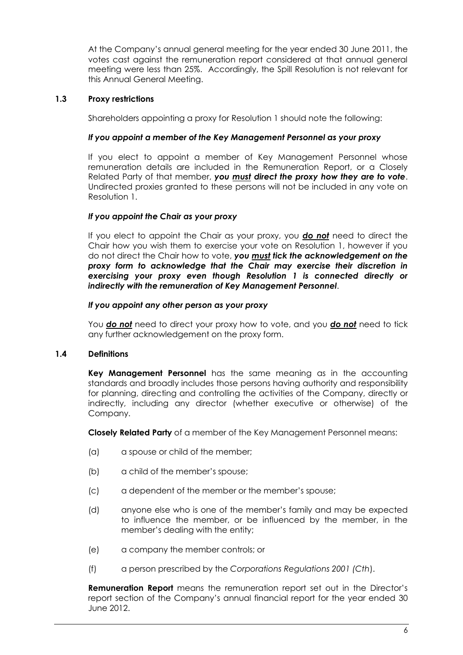At the Company's annual general meeting for the year ended 30 June 2011, the votes cast against the remuneration report considered at that annual general meeting were less than 25%. Accordingly, the Spill Resolution is not relevant for this Annual General Meeting.

## **1.3 Proxy restrictions**

Shareholders appointing a proxy for Resolution 1 should note the following:

## *If you appoint a member of the Key Management Personnel as your proxy*

If you elect to appoint a member of Key Management Personnel whose remuneration details are included in the Remuneration Report, or a Closely Related Party of that member, *you must direct the proxy how they are to vote*. Undirected proxies granted to these persons will not be included in any vote on Resolution 1.

## *If you appoint the Chair as your proxy*

If you elect to appoint the Chair as your proxy, you *do not* need to direct the Chair how you wish them to exercise your vote on Resolution 1, however if you do not direct the Chair how to vote, *you must tick the acknowledgement on the proxy form to acknowledge that the Chair may exercise their discretion in exercising your proxy even though Resolution 1 is connected directly or indirectly with the remuneration of Key Management Personnel*.

#### *If you appoint any other person as your proxy*

You *do not* need to direct your proxy how to vote, and you *do not* need to tick any further acknowledgement on the proxy form.

# **1.4 Definitions**

**Key Management Personnel** has the same meaning as in the accounting standards and broadly includes those persons having authority and responsibility for planning, directing and controlling the activities of the Company, directly or indirectly, including any director (whether executive or otherwise) of the Company.

**Closely Related Party** of a member of the Key Management Personnel means:

- (a) a spouse or child of the member;
- (b) a child of the member's spouse;
- (c) a dependent of the member or the member's spouse;
- (d) anyone else who is one of the member's family and may be expected to influence the member, or be influenced by the member, in the member's dealing with the entity;
- (e) a company the member controls; or
- (f) a person prescribed by the *Corporations Regulations 2001 (Cth*).

**Remuneration Report** means the remuneration report set out in the Director's report section of the Company's annual financial report for the year ended 30 June 2012.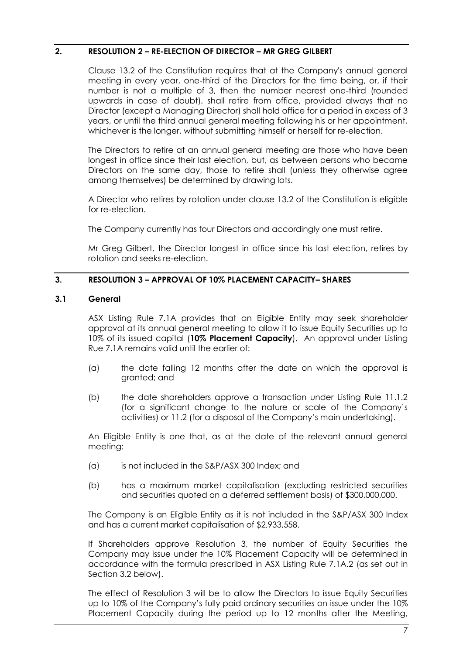## **2. RESOLUTION 2 – RE-ELECTION OF DIRECTOR – MR GREG GILBERT**

Clause 13.2 of the Constitution requires that at the Company's annual general meeting in every year, one-third of the Directors for the time being, or, if their number is not a multiple of 3, then the number nearest one-third (rounded upwards in case of doubt), shall retire from office, provided always that no Director (except a Managing Director) shall hold office for a period in excess of 3 years, or until the third annual general meeting following his or her appointment, whichever is the longer, without submitting himself or herself for re-election.

The Directors to retire at an annual general meeting are those who have been longest in office since their last election, but, as between persons who became Directors on the same day, those to retire shall (unless they otherwise agree among themselves) be determined by drawing lots.

A Director who retires by rotation under clause 13.2 of the Constitution is eligible for re-election.

The Company currently has four Directors and accordingly one must retire.

Mr Greg Gilbert, the Director longest in office since his last election, retires by rotation and seeks re-election.

#### **3. RESOLUTION 3 – APPROVAL OF 10% PLACEMENT CAPACITY– SHARES**

#### **3.1 General**

ASX Listing Rule 7.1A provides that an Eligible Entity may seek shareholder approval at its annual general meeting to allow it to issue Equity Securities up to 10% of its issued capital (**10% Placement Capacity**). An approval under Listing Rue 7.1A remains valid until the earlier of:

- (a) the date falling 12 months after the date on which the approval is granted; and
- (b) the date shareholders approve a transaction under Listing Rule 11.1.2 (for a significant change to the nature or scale of the Company's activities) or 11.2 (for a disposal of the Company's main undertaking).

An Eligible Entity is one that, as at the date of the relevant annual general meeting:

- (a) is not included in the S&P/ASX 300 Index; and
- (b) has a maximum market capitalisation (excluding restricted securities and securities quoted on a deferred settlement basis) of \$300,000,000.

The Company is an Eligible Entity as it is not included in the S&P/ASX 300 Index and has a current market capitalisation of \$2,933,558.

If Shareholders approve Resolution 3, the number of Equity Securities the Company may issue under the 10% Placement Capacity will be determined in accordance with the formula prescribed in ASX Listing Rule 7.1A.2 (as set out in Section 3.2 below).

The effect of Resolution 3 will be to allow the Directors to issue Equity Securities up to 10% of the Company's fully paid ordinary securities on issue under the 10% Placement Capacity during the period up to 12 months after the Meeting,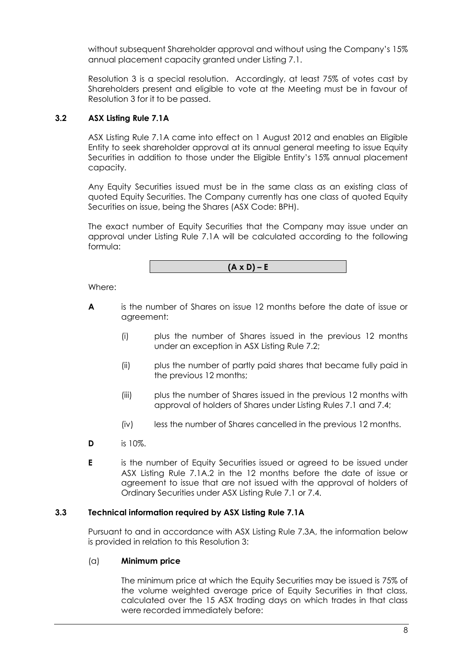without subsequent Shareholder approval and without using the Company's 15% annual placement capacity granted under Listing 7.1.

Resolution 3 is a special resolution. Accordingly, at least 75% of votes cast by Shareholders present and eligible to vote at the Meeting must be in favour of Resolution 3 for it to be passed.

# **3.2 ASX Listing Rule 7.1A**

ASX Listing Rule 7.1A came into effect on 1 August 2012 and enables an Eligible Entity to seek shareholder approval at its annual general meeting to issue Equity Securities in addition to those under the Eligible Entity's 15% annual placement capacity.

Any Equity Securities issued must be in the same class as an existing class of quoted Equity Securities. The Company currently has one class of quoted Equity Securities on issue, being the Shares (ASX Code: BPH).

The exact number of Equity Securities that the Company may issue under an approval under Listing Rule 7.1A will be calculated according to the following formula:

 $(A \times D) - E$ 

Where:

- **A** is the number of Shares on issue 12 months before the date of issue or agreement:
	- (i) plus the number of Shares issued in the previous 12 months under an exception in ASX Listing Rule 7.2;
	- (ii) plus the number of partly paid shares that became fully paid in the previous 12 months;
	- (iii) plus the number of Shares issued in the previous 12 months with approval of holders of Shares under Listing Rules 7.1 and 7.4;
	- (iv) less the number of Shares cancelled in the previous 12 months.
- **D** is 10%.
- **E** is the number of Equity Securities issued or agreed to be issued under ASX Listing Rule 7.1A.2 in the 12 months before the date of issue or agreement to issue that are not issued with the approval of holders of Ordinary Securities under ASX Listing Rule 7.1 or 7.4.

#### **3.3 Technical information required by ASX Listing Rule 7.1A**

Pursuant to and in accordance with ASX Listing Rule 7.3A, the information below is provided in relation to this Resolution 3:

#### (a) **Minimum price**

The minimum price at which the Equity Securities may be issued is 75% of the volume weighted average price of Equity Securities in that class, calculated over the 15 ASX trading days on which trades in that class were recorded immediately before: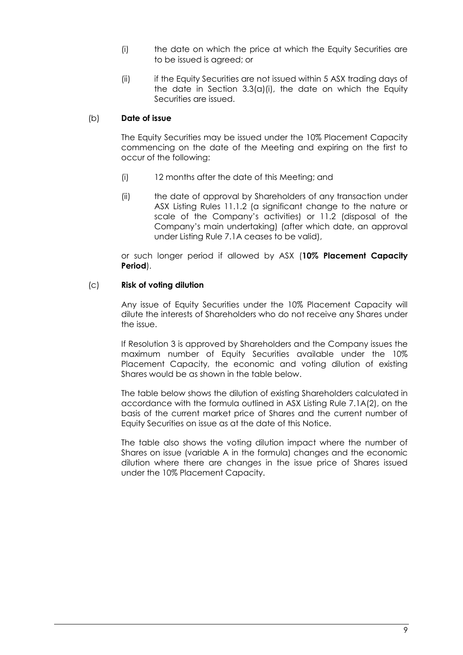- (i) the date on which the price at which the Equity Securities are to be issued is agreed; or
- (ii) if the Equity Securities are not issued within 5 ASX trading days of the date in Section  $3.3(a)(i)$ , the date on which the Equity Securities are issued.

# (b) **Date of issue**

The Equity Securities may be issued under the 10% Placement Capacity commencing on the date of the Meeting and expiring on the first to occur of the following:

- (i) 12 months after the date of this Meeting; and
- (ii) the date of approval by Shareholders of any transaction under ASX Listing Rules 11.1.2 (a significant change to the nature or scale of the Company's activities) or 11.2 (disposal of the Company's main undertaking) (after which date, an approval under Listing Rule 7.1A ceases to be valid),

or such longer period if allowed by ASX (**10% Placement Capacity Period**).

## (c) **Risk of voting dilution**

Any issue of Equity Securities under the 10% Placement Capacity will dilute the interests of Shareholders who do not receive any Shares under the issue.

If Resolution 3 is approved by Shareholders and the Company issues the maximum number of Equity Securities available under the 10% Placement Capacity, the economic and voting dilution of existing Shares would be as shown in the table below.

The table below shows the dilution of existing Shareholders calculated in accordance with the formula outlined in ASX Listing Rule 7.1A(2), on the basis of the current market price of Shares and the current number of Equity Securities on issue as at the date of this Notice.

The table also shows the voting dilution impact where the number of Shares on issue (variable A in the formula) changes and the economic dilution where there are changes in the issue price of Shares issued under the 10% Placement Capacity.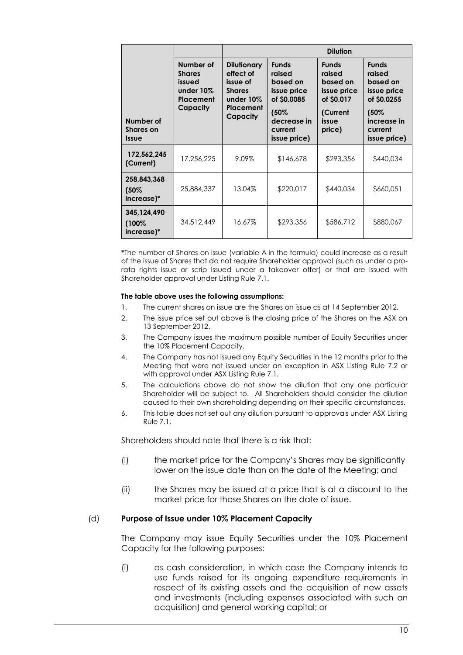|                                               |                                                                            | <b>Dilution</b>                                                                                    |                                                                                                                    |                                                                                                |                                                                                                                    |  |  |
|-----------------------------------------------|----------------------------------------------------------------------------|----------------------------------------------------------------------------------------------------|--------------------------------------------------------------------------------------------------------------------|------------------------------------------------------------------------------------------------|--------------------------------------------------------------------------------------------------------------------|--|--|
| Number of<br><b>Shares</b> on<br><b>Issue</b> | Number of<br><b>Shares</b><br>issued<br>under 10%<br>Placement<br>Capacity | <b>Dilutionary</b><br>effect of<br>issue of<br><b>Shares</b><br>under 10%<br>Placement<br>Capacity | <b>Funds</b><br>raised<br>based on<br>issue price<br>of \$0.0085<br>(50%<br>decrease in<br>current<br>issue price) | <b>Funds</b><br>raised<br>based on<br>issue price<br>of \$0.017<br>(Current<br>issue<br>price) | <b>Funds</b><br>raised<br>based on<br>issue price<br>of \$0.0255<br>(50%<br>increase in<br>current<br>issue price) |  |  |
| 172,562,245<br>(Current)                      | 17,256,225                                                                 | 9.09%                                                                                              | \$146,678                                                                                                          | \$293,356                                                                                      | \$440,034                                                                                                          |  |  |
| 258,843,368<br>$(50\%$<br>increase)*          | 25,884,337                                                                 | 13.04%                                                                                             | \$220,017                                                                                                          | \$440,034                                                                                      | \$660,051                                                                                                          |  |  |
| 345,124,490<br>(100%<br>increase)*            | 34,512,449                                                                 | 16.67%                                                                                             | \$293,356                                                                                                          | \$586,712                                                                                      | \$880,067                                                                                                          |  |  |

**\***The number of Shares on issue (variable A in the formula) could increase as a result of the issue of Shares that do not require Shareholder approval (such as under a prorata rights issue or scrip issued under a takeover offer) or that are issued with Shareholder approval under Listing Rule 7.1.

#### **The table above uses the following assumptions:**

- 1. The current shares on issue are the Shares on issue as at 14 September 2012.
- 2. The issue price set out above is the closing price of the Shares on the ASX on 13 September 2012.
- 3. The Company issues the maximum possible number of Equity Securities under the 10% Placement Capacity.
- 4. The Company has not issued any Equity Securities in the 12 months prior to the Meeting that were not issued under an exception in ASX Listing Rule 7.2 or with approval under ASX Listing Rule 7.1.
- 5. The calculations above do not show the dilution that any one particular Shareholder will be subject to. All Shareholders should consider the dilution caused to their own shareholding depending on their specific circumstances.
- 6. This table does not set out any dilution pursuant to approvals under ASX Listing Rule 7.1.

Shareholders should note that there is a risk that:

- (i) the market price for the Company's Shares may be significantly lower on the issue date than on the date of the Meeting; and
- (ii) the Shares may be issued at a price that is at a discount to the market price for those Shares on the date of issue.

#### (d) **Purpose of Issue under 10% Placement Capacity**

The Company may issue Equity Securities under the 10% Placement Capacity for the following purposes:

(i) as cash consideration, in which case the Company intends to use funds raised for its ongoing expenditure requirements in respect of its existing assets and the acquisition of new assets and investments (including expenses associated with such an acquisition) and general working capital; or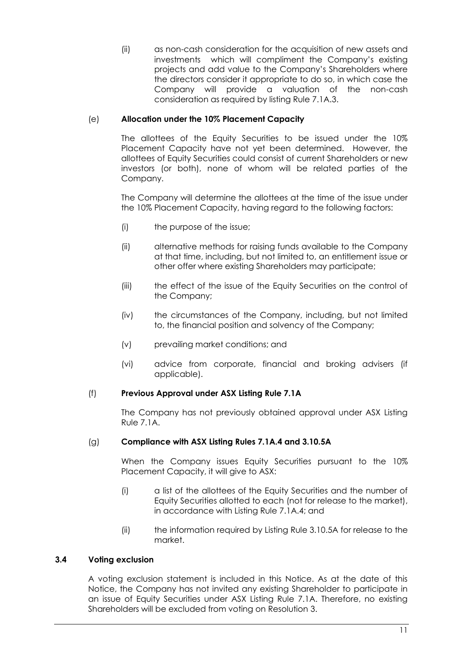(ii) as non-cash consideration for the acquisition of new assets and investments which will compliment the Company's existing projects and add value to the Company's Shareholders where the directors consider it appropriate to do so, in which case the Company will provide a valuation of the non-cash consideration as required by listing Rule 7.1A.3.

# (e) **Allocation under the 10% Placement Capacity**

The allottees of the Equity Securities to be issued under the 10% Placement Capacity have not yet been determined. However, the allottees of Equity Securities could consist of current Shareholders or new investors (or both), none of whom will be related parties of the Company.

The Company will determine the allottees at the time of the issue under the 10% Placement Capacity, having regard to the following factors:

- (i) the purpose of the issue;
- (ii) alternative methods for raising funds available to the Company at that time, including, but not limited to, an entitlement issue or other offer where existing Shareholders may participate;
- (iii) the effect of the issue of the Equity Securities on the control of the Company;
- (iv) the circumstances of the Company, including, but not limited to, the financial position and solvency of the Company;
- (v) prevailing market conditions; and
- (vi) advice from corporate, financial and broking advisers (if applicable).

# (f) **Previous Approval under ASX Listing Rule 7.1A**

The Company has not previously obtained approval under ASX Listing Rule 7.1A.

# (g) **Compliance with ASX Listing Rules 7.1A.4 and 3.10.5A**

When the Company issues Equity Securities pursuant to the 10% Placement Capacity, it will give to ASX:

- (i) a list of the allottees of the Equity Securities and the number of Equity Securities allotted to each (not for release to the market), in accordance with Listing Rule 7.1A.4; and
- (ii) the information required by Listing Rule 3.10.5A for release to the market.

# **3.4 Voting exclusion**

A voting exclusion statement is included in this Notice. As at the date of this Notice, the Company has not invited any existing Shareholder to participate in an issue of Equity Securities under ASX Listing Rule 7.1A. Therefore, no existing Shareholders will be excluded from voting on Resolution 3.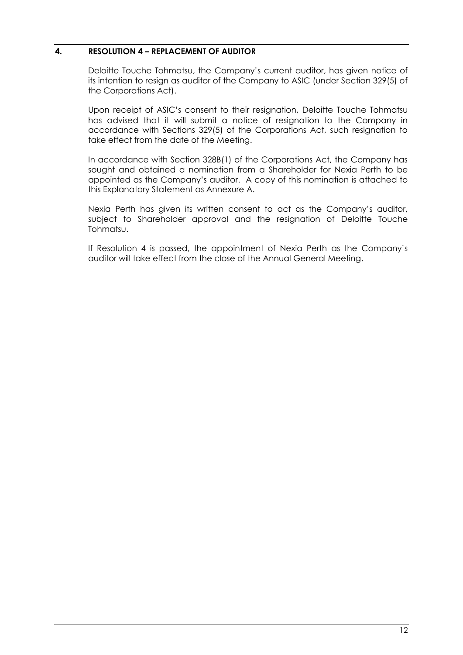## **4. RESOLUTION 4 – REPLACEMENT OF AUDITOR**

Deloitte Touche Tohmatsu, the Company's current auditor, has given notice of its intention to resign as auditor of the Company to ASIC (under Section 329(5) of the Corporations Act).

Upon receipt of ASIC's consent to their resignation, Deloitte Touche Tohmatsu has advised that it will submit a notice of resignation to the Company in accordance with Sections 329(5) of the Corporations Act, such resignation to take effect from the date of the Meeting.

In accordance with Section 328B(1) of the Corporations Act, the Company has sought and obtained a nomination from a Shareholder for Nexia Perth to be appointed as the Company's auditor. A copy of this nomination is attached to this Explanatory Statement as Annexure A.

Nexia Perth has given its written consent to act as the Company's auditor, subject to Shareholder approval and the resignation of Deloitte Touche Tohmatsu.

If Resolution 4 is passed, the appointment of Nexia Perth as the Company's auditor will take effect from the close of the Annual General Meeting.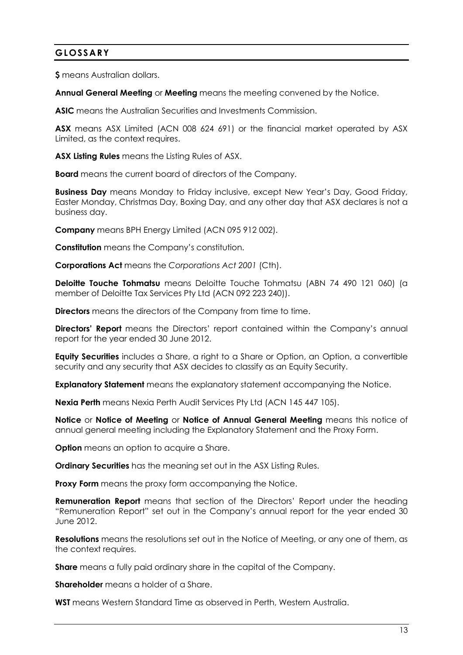# **GLOSSARY**

**\$** means Australian dollars.

**Annual General Meeting** or **Meeting** means the meeting convened by the Notice.

**ASIC** means the Australian Securities and Investments Commission.

**ASX** means ASX Limited (ACN 008 624 691) or the financial market operated by ASX Limited, as the context requires.

**ASX Listing Rules** means the Listing Rules of ASX.

**Board** means the current board of directors of the Company.

**Business Day** means Monday to Friday inclusive, except New Year's Day, Good Friday, Easter Monday, Christmas Day, Boxing Day, and any other day that ASX declares is not a business day.

**Company** means BPH Energy Limited (ACN 095 912 002).

**Constitution** means the Company's constitution.

**Corporations Act** means the *Corporations Act 2001* (Cth).

**Deloitte Touche Tohmatsu** means Deloitte Touche Tohmatsu (ABN 74 490 121 060) (a member of Deloitte Tax Services Pty Ltd (ACN 092 223 240)).

**Directors** means the directors of the Company from time to time.

**Directors' Report** means the Directors' report contained within the Company's annual report for the year ended 30 June 2012.

**Equity Securities** includes a Share, a right to a Share or Option, an Option, a convertible security and any security that ASX decides to classify as an Equity Security.

**Explanatory Statement** means the explanatory statement accompanying the Notice.

**Nexia Perth** means Nexia Perth Audit Services Pty Ltd (ACN 145 447 105).

**Notice** or **Notice of Meeting** or **Notice of Annual General Meeting** means this notice of annual general meeting including the Explanatory Statement and the Proxy Form.

**Option** means an option to acquire a Share.

**Ordinary Securities** has the meaning set out in the ASX Listing Rules.

**Proxy Form** means the proxy form accompanying the Notice.

**Remuneration Report** means that section of the Directors' Report under the heading "Remuneration Report" set out in the Company's annual report for the year ended 30 June 2012.

**Resolutions** means the resolutions set out in the Notice of Meeting, or any one of them, as the context requires.

**Share** means a fully paid ordinary share in the capital of the Company.

**Shareholder** means a holder of a Share.

**WST** means Western Standard Time as observed in Perth, Western Australia.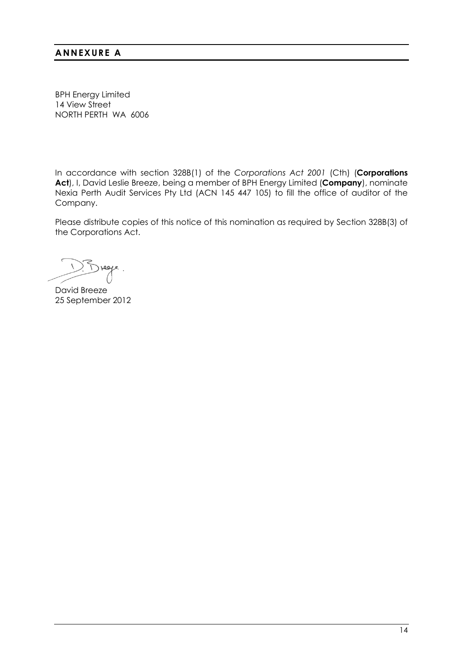# **ANNEXURE A**

BPH Energy Limited 14 View Street NORTH PERTH WA 6006

In accordance with section 328B(1) of the *Corporations Act 2001* (Cth) (**Corporations Act**), I, David Leslie Breeze, being a member of BPH Energy Limited (**Company**), nominate Nexia Perth Audit Services Pty Ltd (ACN 145 447 105) to fill the office of auditor of the Company.

Please distribute copies of this notice of this nomination as required by Section 328B(3) of the Corporations Act.

David Breeze 25 September 2012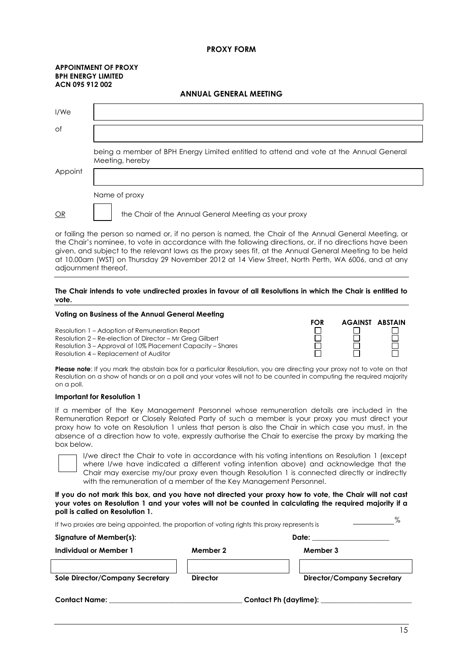#### **PROXY FORM**

**ANNUAL GENERAL MEETING**

#### **APPOINTMENT OF PROXY BPH ENERGY LIMITED ACN 095 912 002**

| I/We    |                                                                                                           |
|---------|-----------------------------------------------------------------------------------------------------------|
| of      |                                                                                                           |
|         | being a member of BPH Energy Limited entitled to attend and vote at the Annual General<br>Meeting, hereby |
| Appoint |                                                                                                           |
|         | Name of proxy                                                                                             |
| OR      | the Chair of the Annual General Meeting as your proxy                                                     |

or failing the person so named or, if no person is named, the Chair of the Annual General Meeting, or the Chair's nominee, to vote in accordance with the following directions, or, if no directions have been given, and subject to the relevant laws as the proxy sees fit, at the Annual General Meeting to be held at 10.00am (WST) on Thursday 29 November 2012 at 14 View Street, North Perth, WA 6006, and at any adjournment thereof.

#### **The Chair intends to vote undirected proxies in favour of all Resolutions in which the Chair is entitled to vote.**

#### **Voting on Business of the Annual General Meeting**

Resolution 1 – Adoption of Remuneration Report Resolution 2 – Re-election of Director – Mr Greg Gilbert Resolution 3 – Approval of 10% Placement Capacity – Shares Resolution 4 – Replacement of Auditor

**FOR AGAINST ABSTAIN**<br>  $\begin{array}{ccc}\n\Box & \quad\Box & \quad\Box \\
\Box & \quad\Box & \quad\Box \\
\Box & \quad\Box & \quad\Box \\
\Box & \quad\Box & \quad\Box\n\end{array}$ П  $\mathbf{1}$ 

**Please note**: If you mark the abstain box for a particular Resolution, you are directing your proxy not to vote on that Resolution on a show of hands or on a poll and your votes will not to be counted in computing the required majority on a poll.

#### **Important for Resolution 1**

If a member of the Key Management Personnel whose remuneration details are included in the Remuneration Report or Closely Related Party of such a member is your proxy you must direct your proxy how to vote on Resolution 1 unless that person is also the Chair in which case you must, in the absence of a direction how to vote, expressly authorise the Chair to exercise the proxy by marking the box below.

I/we direct the Chair to vote in accordance with his voting intentions on Resolution 1 (except where I/we have indicated a different voting intention above) and acknowledge that the Chair may exercise my/our proxy even though Resolution 1 is connected directly or indirectly with the remuneration of a member of the Key Management Personnel.

**If you do not mark this box, and you have not directed your proxy how to vote, the Chair will not cast your votes on Resolution 1 and your votes will not be counted in calculating the required majority if a poll is called on Resolution 1.**

| If two proxies are being appointed, the proportion of voting rights this proxy represents is |                       |                                   |  |  |  |  |
|----------------------------------------------------------------------------------------------|-----------------------|-----------------------------------|--|--|--|--|
| Signature of Member(s):                                                                      |                       | Date:                             |  |  |  |  |
| Individual or Member 1                                                                       | Member 2              | Member 3                          |  |  |  |  |
|                                                                                              |                       |                                   |  |  |  |  |
| Sole Director/Company Secretary                                                              | <b>Director</b>       | <b>Director/Company Secretary</b> |  |  |  |  |
| <b>Contact Name:</b>                                                                         | Contact Ph (daytime): |                                   |  |  |  |  |